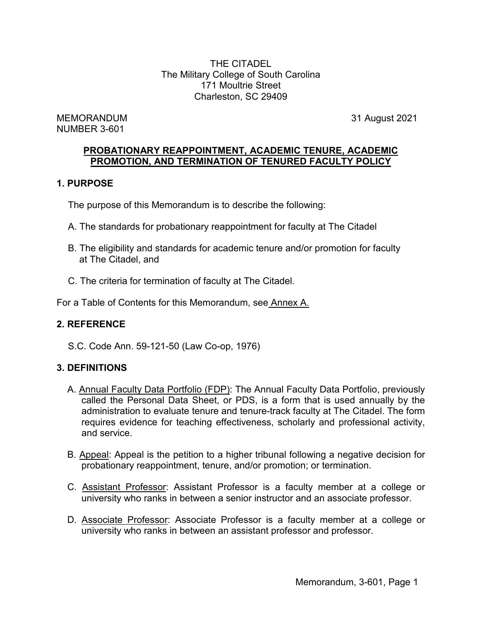THE CITADEL The Military College of South Carolina 171 Moultrie Street Charleston, SC 29409

MEMORANDUM 31 August 2021 NUMBER 3-601

## **PROBATIONARY REAPPOINTMENT, ACADEMIC TENURE, ACADEMIC PROMOTION, AND TERMINATION OF TENURED FACULTY POLICY**

## **1. PURPOSE**

The purpose of this Memorandum is to describe the following:

- A. The standards for probationary reappointment for faculty at The Citadel
- B. The eligibility and standards for academic tenure and/or promotion for faculty at The Citadel, and
- C. The criteria for termination of faculty at The Citadel.

For a Table of Contents for this Memorandum, see Annex A.

## **2. REFERENCE**

S.C. Code Ann. 59-121-50 (Law Co-op, 1976)

## **3. DEFINITIONS**

- A. Annual Faculty Data Portfolio (FDP): The Annual Faculty Data Portfolio, previously called the Personal Data Sheet, or PDS, is a form that is used annually by the administration to evaluate tenure and tenure-track faculty at The Citadel. The form requires evidence for teaching effectiveness, scholarly and professional activity, and service.
- B. Appeal: Appeal is the petition to a higher tribunal following a negative decision for probationary reappointment, tenure, and/or promotion; or termination.
- C. Assistant Professor: Assistant Professor is a faculty member at a college or university who ranks in between a senior instructor and an associate professor.
- D. Associate Professor: Associate Professor is a faculty member at a college or university who ranks in between an assistant professor and professor.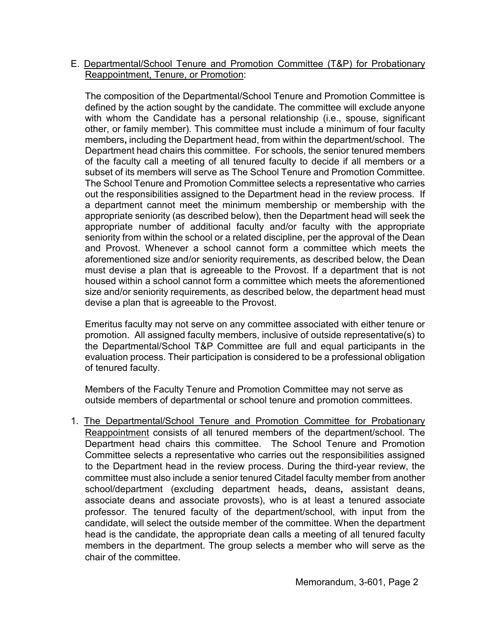## E. Departmental/School Tenure and Promotion Committee (T&P) for Probationary Reappointment, Tenure, or Promotion:

The composition of the Departmental/School Tenure and Promotion Committee is defined by the action sought by the candidate. The committee will exclude anyone with whom the Candidate has a personal relationship (i.e., spouse, significant other, or family member). This committee must include a minimum of four faculty members**,** including the Department head, from within the department/school. The Department head chairs this committee. For schools, the senior tenured members of the faculty call a meeting of all tenured faculty to decide if all members or a subset of its members will serve as The School Tenure and Promotion Committee. The School Tenure and Promotion Committee selects a representative who carries out the responsibilities assigned to the Department head in the review process.If a department cannot meet the minimum membership or membership with the appropriate seniority (as described below), then the Department head will seek the appropriate number of additional faculty and/or faculty with the appropriate seniority from within the school or a related discipline, per the approval of the Dean and Provost. Whenever a school cannot form a committee which meets the aforementioned size and/or seniority requirements, as described below, the Dean must devise a plan that is agreeable to the Provost. If a department that is not housed within a school cannot form a committee which meets the aforementioned size and/or seniority requirements, as described below, the department head must devise a plan that is agreeable to the Provost.

Emeritus faculty may not serve on any committee associated with either tenure or promotion.All assigned faculty members, inclusive of outside representative(s) to the Departmental/School T&P Committee are full and equal participants in the evaluation process. Their participation is considered to be a professional obligation of tenured faculty.

Members of the Faculty Tenure and Promotion Committee may not serve as outside members of departmental or school tenure and promotion committees.

1. The Departmental/School Tenure and Promotion Committee for Probationary Reappointment consists of all tenured members of the department/school. The Department head chairs this committee. The School Tenure and Promotion Committee selects a representative who carries out the responsibilities assigned to the Department head in the review process. During the third-year review, the committee must also include a senior tenured Citadel faculty member from another school/department (excluding department heads**,** deans**,** assistant deans, associate deans and associate provosts), who is at least a tenured associate professor. The tenured faculty of the department/school, with input from the candidate, will select the outside member of the committee. When the department head is the candidate, the appropriate dean calls a meeting of all tenured faculty members in the department. The group selects a member who will serve as the chair of the committee.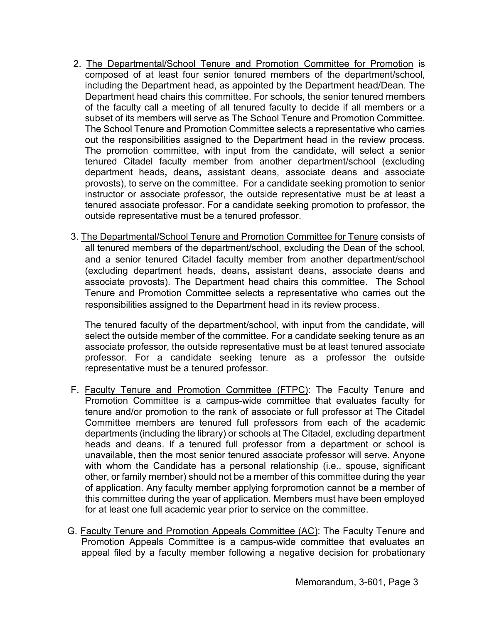- 2. The Departmental/School Tenure and Promotion Committee for Promotion is composed of at least four senior tenured members of the department/school, including the Department head, as appointed by the Department head/Dean. The Department head chairs this committee. For schools, the senior tenured members of the faculty call a meeting of all tenured faculty to decide if all members or a subset of its members will serve as The School Tenure and Promotion Committee. The School Tenure and Promotion Committee selects a representative who carries out the responsibilities assigned to the Department head in the review process. The promotion committee, with input from the candidate, will select a senior tenured Citadel faculty member from another department/school (excluding department heads**,** deans**,** assistant deans, associate deans and associate provosts), to serve on the committee. For a candidate seeking promotion to senior instructor or associate professor, the outside representative must be at least a tenured associate professor. For a candidate seeking promotion to professor, the outside representative must be a tenured professor.
- 3. The Departmental/School Tenure and Promotion Committee for Tenure consists of all tenured members of the department/school, excluding the Dean of the school, and a senior tenured Citadel faculty member from another department/school (excluding department heads, deans**,** assistant deans, associate deans and associate provosts). The Department head chairs this committee. The School Tenure and Promotion Committee selects a representative who carries out the responsibilities assigned to the Department head in its review process.

The tenured faculty of the department/school, with input from the candidate, will select the outside member of the committee. For a candidate seeking tenure as an associate professor, the outside representative must be at least tenured associate professor. For a candidate seeking tenure as a professor the outside representative must be a tenured professor.

- F. Faculty Tenure and Promotion Committee (FTPC): The Faculty Tenure and Promotion Committee is a campus-wide committee that evaluates faculty for tenure and/or promotion to the rank of associate or full professor at The Citadel Committee members are tenured full professors from each of the academic departments (including the library) or schools at The Citadel, excluding department heads and deans. If a tenured full professor from a department or school is unavailable, then the most senior tenured associate professor will serve. Anyone with whom the Candidate has a personal relationship (i.e., spouse, significant other, or family member) should not be a member of this committee during the year of application. Any faculty member applying forpromotion cannot be a member of this committee during the year of application. Members must have been employed for at least one full academic year prior to service on the committee.
- G. Faculty Tenure and Promotion Appeals Committee (AC): The Faculty Tenure and Promotion Appeals Committee is a campus-wide committee that evaluates an appeal filed by a faculty member following a negative decision for probationary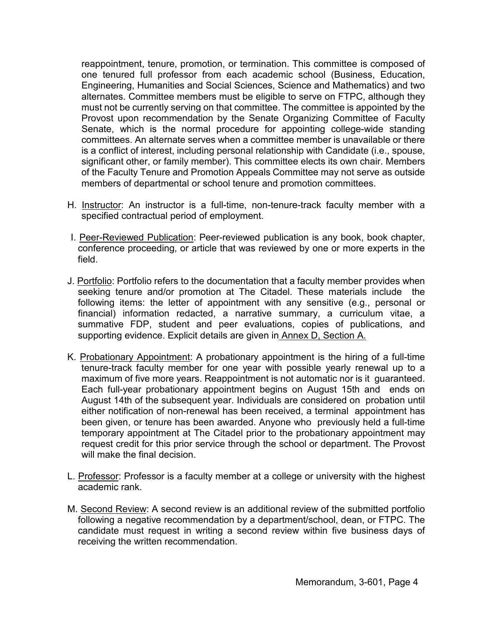reappointment, tenure, promotion, or termination. This committee is composed of one tenured full professor from each academic school (Business, Education, Engineering, Humanities and Social Sciences, Science and Mathematics) and two alternates. Committee members must be eligible to serve on FTPC, although they must not be currently serving on that committee. The committee is appointed by the Provost upon recommendation by the Senate Organizing Committee of Faculty Senate, which is the normal procedure for appointing college-wide standing committees. An alternate serves when a committee member is unavailable or there is a conflict of interest, including personal relationship with Candidate (i.e., spouse, significant other, or family member). This committee elects its own chair. Members of the Faculty Tenure and Promotion Appeals Committee may not serve as outside members of departmental or school tenure and promotion committees.

- H. Instructor: An instructor is a full-time, non-tenure-track faculty member with a specified contractual period of employment.
- I. Peer-Reviewed Publication: Peer-reviewed publication is any book, book chapter, conference proceeding, or article that was reviewed by one or more experts in the field.
- J. Portfolio: Portfolio refers to the documentation that a faculty member provides when seeking tenure and/or promotion at The Citadel. These materials include the following items: the letter of appointment with any sensitive (e.g., personal or financial) information redacted, a narrative summary, a curriculum vitae, a summative FDP, student and peer evaluations, copies of publications, and supporting evidence. Explicit details are given in Annex D, Section A.
- K. Probationary Appointment: A probationary appointment is the hiring of a full-time tenure-track faculty member for one year with possible yearly renewal up to a maximum of five more years. Reappointment is not automatic nor is it guaranteed. Each full-year probationary appointment begins on August 15th and ends on August 14th of the subsequent year. Individuals are considered on probation until either notification of non-renewal has been received, a terminal appointment has been given, or tenure has been awarded. Anyone who previously held a full-time temporary appointment at The Citadel prior to the probationary appointment may request credit for this prior service through the school or department. The Provost will make the final decision.
- L. Professor: Professor is a faculty member at a college or university with the highest academic rank.
- M. Second Review: A second review is an additional review of the submitted portfolio following a negative recommendation by a department/school, dean, or FTPC. The candidate must request in writing a second review within five business days of receiving the written recommendation.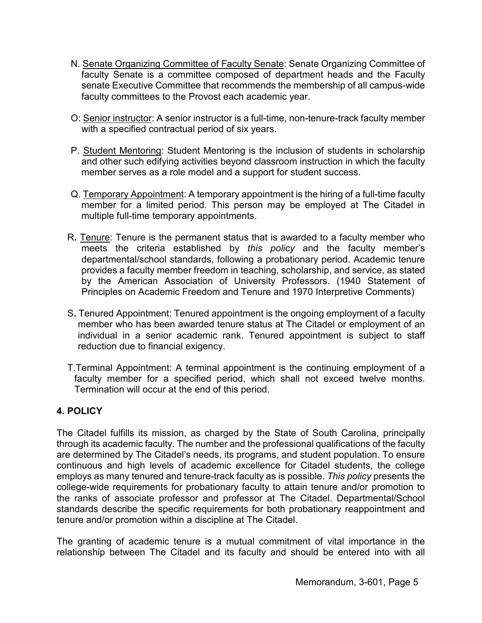- N. Senate Organizing Committee of Faculty Senate: Senate Organizing Committee of faculty Senate is a committee composed of department heads and the Faculty senate Executive Committee that recommends the membership of all campus-wide faculty committees to the Provost each academic year.
- O: Senior instructor: A senior instructor is a full-time, non-tenure-track faculty member with a specified contractual period of six years.
- P. Student Mentoring: Student Mentoring is the inclusion of students in scholarship and other such edifying activities beyond classroom instruction in which the faculty member serves as a role model and a support for student success.
- Q. Temporary Appointment: A temporary appointment is the hiring of a full-time faculty member for a limited period. This person may be employed at The Citadel in multiple full-time temporary appointments.
- R**.** Tenure: Tenure is the permanent status that is awarded to a faculty member who meets the criteria established by *this policy* and the faculty member's departmental/school standards, following a probationary period. Academic tenure provides a faculty member freedom in teaching, scholarship, and service, as stated by the American Association of University Professors. (1940 Statement of Principles on Academic Freedom and Tenure and 1970 Interpretive Comments)
- S**.** Tenured Appointment: Tenured appointment is the ongoing employment of a faculty member who has been awarded tenure status at The Citadel or employment of an individual in a senior academic rank. Tenured appointment is subject to staff reduction due to financial exigency.
- T.Terminal Appointment: A terminal appointment is the continuing employment of a faculty member for a specified period, which shall not exceed twelve months. Termination will occur at the end of this period.

# **4. POLICY**

The Citadel fulfills its mission, as charged by the State of South Carolina, principally through its academic faculty. The number and the professional qualifications of the faculty are determined by The Citadel's needs, its programs, and student population. To ensure continuous and high levels of academic excellence for Citadel students, the college employs as many tenured and tenure-track faculty as is possible. *This policy* presents the college-wide requirements for probationary faculty to attain tenure and/or promotion to the ranks of associate professor and professor at The Citadel. Departmental/School standards describe the specific requirements for both probationary reappointment and tenure and/or promotion within a discipline at The Citadel.

The granting of academic tenure is a mutual commitment of vital importance in the relationship between The Citadel and its faculty and should be entered into with all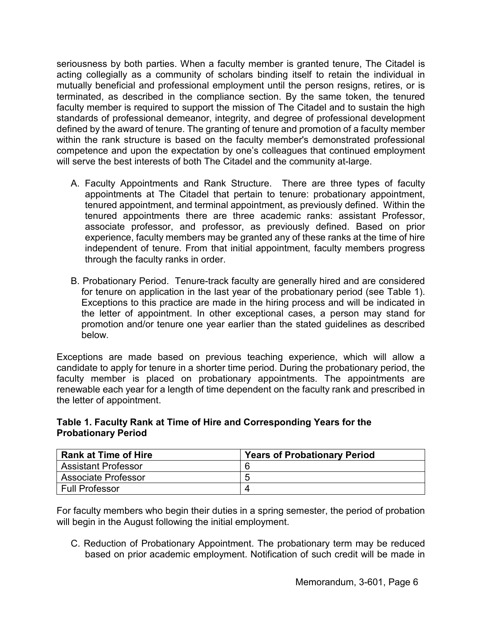seriousness by both parties. When a faculty member is granted tenure, The Citadel is acting collegially as a community of scholars binding itself to retain the individual in mutually beneficial and professional employment until the person resigns, retires, or is terminated, as described in the compliance section. By the same token, the tenured faculty member is required to support the mission of The Citadel and to sustain the high standards of professional demeanor, integrity, and degree of professional development defined by the award of tenure. The granting of tenure and promotion of a faculty member within the rank structure is based on the faculty member's demonstrated professional competence and upon the expectation by one's colleagues that continued employment will serve the best interests of both The Citadel and the community at-large.

- A. Faculty Appointments and Rank Structure. There are three types of faculty appointments at The Citadel that pertain to tenure: probationary appointment, tenured appointment, and terminal appointment, as previously defined. Within the tenured appointments there are three academic ranks: assistant Professor, associate professor, and professor, as previously defined. Based on prior experience, faculty members may be granted any of these ranks at the time of hire independent of tenure. From that initial appointment, faculty members progress through the faculty ranks in order.
- B. Probationary Period. Tenure-track faculty are generally hired and are considered for tenure on application in the last year of the probationary period (see Table 1). Exceptions to this practice are made in the hiring process and will be indicated in the letter of appointment. In other exceptional cases, a person may stand for promotion and/or tenure one year earlier than the stated guidelines as described below.

Exceptions are made based on previous teaching experience, which will allow a candidate to apply for tenure in a shorter time period. During the probationary period, the faculty member is placed on probationary appointments. The appointments are renewable each year for a length of time dependent on the faculty rank and prescribed in the letter of appointment.

#### **Table 1. Faculty Rank at Time of Hire and Corresponding Years for the Probationary Period**

| <b>Rank at Time of Hire</b> | <b>Years of Probationary Period</b> |
|-----------------------------|-------------------------------------|
| <b>Assistant Professor</b>  | 6                                   |
| <b>Associate Professor</b>  | b                                   |
| <b>Full Professor</b>       |                                     |

For faculty members who begin their duties in a spring semester, the period of probation will begin in the August following the initial employment.

C. Reduction of Probationary Appointment. The probationary term may be reduced based on prior academic employment. Notification of such credit will be made in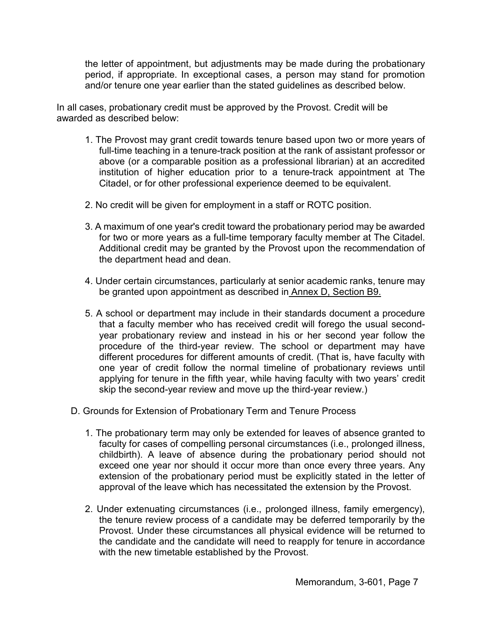the letter of appointment, but adjustments may be made during the probationary period, if appropriate. In exceptional cases, a person may stand for promotion and/or tenure one year earlier than the stated guidelines as described below.

In all cases, probationary credit must be approved by the Provost. Credit will be awarded as described below:

- 1. The Provost may grant credit towards tenure based upon two or more years of full-time teaching in a tenure-track position at the rank of assistant professor or above (or a comparable position as a professional librarian) at an accredited institution of higher education prior to a tenure-track appointment at The Citadel, or for other professional experience deemed to be equivalent.
- 2. No credit will be given for employment in a staff or ROTC position.
- 3. A maximum of one year's credit toward the probationary period may be awarded for two or more years as a full-time temporary faculty member at The Citadel. Additional credit may be granted by the Provost upon the recommendation of the department head and dean.
- 4. Under certain circumstances, particularly at senior academic ranks, tenure may be granted upon appointment as described in Annex D, Section B9.
- 5. A school or department may include in their standards document a procedure that a faculty member who has received credit will forego the usual secondyear probationary review and instead in his or her second year follow the procedure of the third-year review. The school or department may have different procedures for different amounts of credit. (That is, have faculty with one year of credit follow the normal timeline of probationary reviews until applying for tenure in the fifth year, while having faculty with two years' credit skip the second-year review and move up the third-year review.)
- D. Grounds for Extension of Probationary Term and Tenure Process
	- 1. The probationary term may only be extended for leaves of absence granted to faculty for cases of compelling personal circumstances (i.e., prolonged illness, childbirth). A leave of absence during the probationary period should not exceed one year nor should it occur more than once every three years. Any extension of the probationary period must be explicitly stated in the letter of approval of the leave which has necessitated the extension by the Provost.
	- 2. Under extenuating circumstances (i.e., prolonged illness, family emergency), the tenure review process of a candidate may be deferred temporarily by the Provost. Under these circumstances all physical evidence will be returned to the candidate and the candidate will need to reapply for tenure in accordance with the new timetable established by the Provost.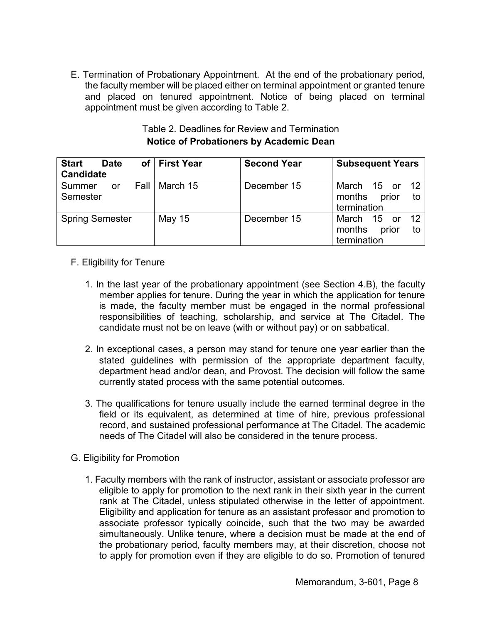E. Termination of Probationary Appointment. At the end of the probationary period, the faculty member will be placed either on terminal appointment or granted tenure and placed on tenured appointment. Notice of being placed on terminal appointment must be given according to Table 2.

| <b>Start</b><br><b>Date</b><br><b>Candidate</b> | of   First Year | <b>Second Year</b> | <b>Subsequent Years</b>                                                |
|-------------------------------------------------|-----------------|--------------------|------------------------------------------------------------------------|
| - Fall I<br>Summer<br><b>or</b><br>Semester     | March 15        | December 15        | March 15 or 12<br>months prior<br>to<br>termination                    |
| <b>Spring Semester</b>                          | May 15          | December 15        | $\overline{12}$<br>March 15 or<br>prior<br>months<br>to<br>termination |

# Table 2. Deadlines for Review and Termination **Notice of Probationers by Academic Dean**

# F. Eligibility for Tenure

- 1. In the last year of the probationary appointment (see Section 4.B), the faculty member applies for tenure. During the year in which the application for tenure is made, the faculty member must be engaged in the normal professional responsibilities of teaching, scholarship, and service at The Citadel. The candidate must not be on leave (with or without pay) or on sabbatical.
- 2. In exceptional cases, a person may stand for tenure one year earlier than the stated guidelines with permission of the appropriate department faculty, department head and/or dean, and Provost. The decision will follow the same currently stated process with the same potential outcomes.
- 3. The qualifications for tenure usually include the earned terminal degree in the field or its equivalent, as determined at time of hire, previous professional record, and sustained professional performance at The Citadel. The academic needs of The Citadel will also be considered in the tenure process.
- G. Eligibility for Promotion
	- 1. Faculty members with the rank of instructor, assistant or associate professor are eligible to apply for promotion to the next rank in their sixth year in the current rank at The Citadel, unless stipulated otherwise in the letter of appointment. Eligibility and application for tenure as an assistant professor and promotion to associate professor typically coincide, such that the two may be awarded simultaneously. Unlike tenure, where a decision must be made at the end of the probationary period, faculty members may, at their discretion, choose not to apply for promotion even if they are eligible to do so. Promotion of tenured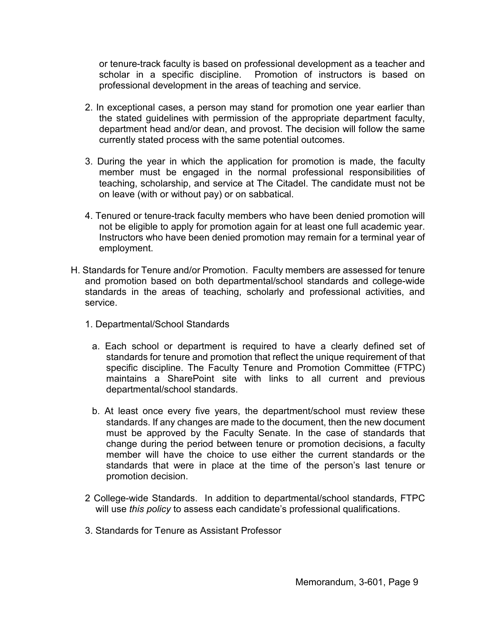or tenure-track faculty is based on professional development as a teacher and scholar in a specific discipline. Promotion of instructors is based on professional development in the areas of teaching and service.

- 2. In exceptional cases, a person may stand for promotion one year earlier than the stated guidelines with permission of the appropriate department faculty, department head and/or dean, and provost. The decision will follow the same currently stated process with the same potential outcomes.
- 3. During the year in which the application for promotion is made, the faculty member must be engaged in the normal professional responsibilities of teaching, scholarship, and service at The Citadel. The candidate must not be on leave (with or without pay) or on sabbatical.
- 4. Tenured or tenure-track faculty members who have been denied promotion will not be eligible to apply for promotion again for at least one full academic year. Instructors who have been denied promotion may remain for a terminal year of employment.
- H. Standards for Tenure and/or Promotion. Faculty members are assessed for tenure and promotion based on both departmental/school standards and college-wide standards in the areas of teaching, scholarly and professional activities, and service.
	- 1. Departmental/School Standards
		- a. Each school or department is required to have a clearly defined set of standards for tenure and promotion that reflect the unique requirement of that specific discipline. The Faculty Tenure and Promotion Committee (FTPC) maintains a SharePoint site with links to all current and previous departmental/school standards.
		- b. At least once every five years, the department/school must review these standards. If any changes are made to the document, then the new document must be approved by the Faculty Senate. In the case of standards that change during the period between tenure or promotion decisions, a faculty member will have the choice to use either the current standards or the standards that were in place at the time of the person's last tenure or promotion decision.
	- 2 College-wide Standards. In addition to departmental/school standards, FTPC will use *this policy* to assess each candidate's professional qualifications.
	- 3. Standards for Tenure as Assistant Professor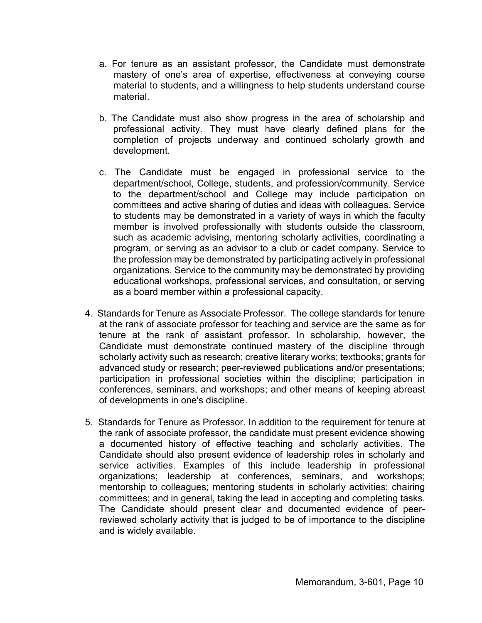- a. For tenure as an assistant professor, the Candidate must demonstrate mastery of one's area of expertise, effectiveness at conveying course material to students, and a willingness to help students understand course material.
- b. The Candidate must also show progress in the area of scholarship and professional activity. They must have clearly defined plans for the completion of projects underway and continued scholarly growth and development.
- c. The Candidate must be engaged in professional service to the department/school, College, students, and profession/community. Service to the department/school and College may include participation on committees and active sharing of duties and ideas with colleagues. Service to students may be demonstrated in a variety of ways in which the faculty member is involved professionally with students outside the classroom, such as academic advising, mentoring scholarly activities, coordinating a program, or serving as an advisor to a club or cadet company. Service to the profession may be demonstrated by participating actively in professional organizations. Service to the community may be demonstrated by providing educational workshops, professional services, and consultation, or serving as a board member within a professional capacity.
- 4. Standards for Tenure as Associate Professor. The college standards for tenure at the rank of associate professor for teaching and service are the same as for tenure at the rank of assistant professor. In scholarship, however, the Candidate must demonstrate continued mastery of the discipline through scholarly activity such as research; creative literary works; textbooks; grants for advanced study or research; peer-reviewed publications and/or presentations; participation in professional societies within the discipline; participation in conferences, seminars, and workshops; and other means of keeping abreast of developments in one's discipline.
- 5. Standards for Tenure as Professor. In addition to the requirement for tenure at the rank of associate professor, the candidate must present evidence showing a documented history of effective teaching and scholarly activities. The Candidate should also present evidence of leadership roles in scholarly and service activities. Examples of this include leadership in professional organizations; leadership at conferences, seminars, and workshops; mentorship to colleagues; mentoring students in scholarly activities; chairing committees; and in general, taking the lead in accepting and completing tasks. The Candidate should present clear and documented evidence of peerreviewed scholarly activity that is judged to be of importance to the discipline and is widely available.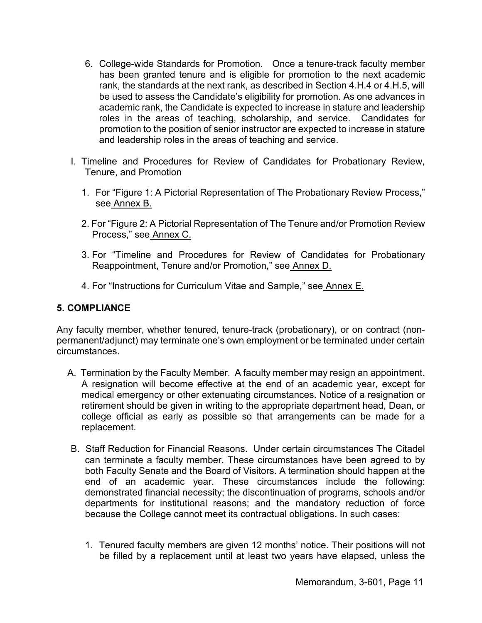- 6. College-wide Standards for Promotion. Once a tenure-track faculty member has been granted tenure and is eligible for promotion to the next academic rank, the standards at the next rank, as described in Section 4.H.4 or 4.H.5, will be used to assess the Candidate's eligibility for promotion. As one advances in academic rank, the Candidate is expected to increase in stature and leadership roles in the areas of teaching, scholarship, and service. Candidates for promotion to the position of senior instructor are expected to increase in stature and leadership roles in the areas of teaching and service.
- I. Timeline and Procedures for Review of Candidates for Probationary Review, Tenure, and Promotion
	- 1. For "Figure 1: A Pictorial Representation of The Probationary Review Process," see Annex B.
	- 2. For "Figure 2: A Pictorial Representation of The Tenure and/or Promotion Review Process," see Annex C.
	- 3. For "Timeline and Procedures for Review of Candidates for Probationary Reappointment, Tenure and/or Promotion," see Annex D.
	- 4. For "Instructions for Curriculum Vitae and Sample," see Annex E.

## **5. COMPLIANCE**

Any faculty member, whether tenured, tenure-track (probationary), or on contract (nonpermanent/adjunct) may terminate one's own employment or be terminated under certain circumstances.

- A. Termination by the Faculty Member. A faculty member may resign an appointment. A resignation will become effective at the end of an academic year, except for medical emergency or other extenuating circumstances. Notice of a resignation or retirement should be given in writing to the appropriate department head, Dean, or college official as early as possible so that arrangements can be made for a replacement.
- B. Staff Reduction for Financial Reasons. Under certain circumstances The Citadel can terminate a faculty member. These circumstances have been agreed to by both Faculty Senate and the Board of Visitors. A termination should happen at the end of an academic year. These circumstances include the following: demonstrated financial necessity; the discontinuation of programs, schools and/or departments for institutional reasons; and the mandatory reduction of force because the College cannot meet its contractual obligations. In such cases:
	- 1. Tenured faculty members are given 12 months' notice. Their positions will not be filled by a replacement until at least two years have elapsed, unless the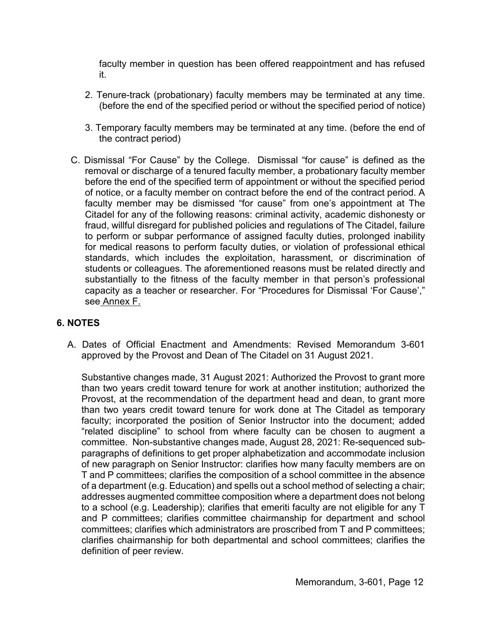faculty member in question has been offered reappointment and has refused it.

- 2. Tenure-track (probationary) faculty members may be terminated at any time. (before the end of the specified period or without the specified period of notice)
- 3. Temporary faculty members may be terminated at any time. (before the end of the contract period)
- C. Dismissal "For Cause" by the College. Dismissal "for cause" is defined as the removal or discharge of a tenured faculty member, a probationary faculty member before the end of the specified term of appointment or without the specified period of notice, or a faculty member on contract before the end of the contract period. A faculty member may be dismissed "for cause" from one's appointment at The Citadel for any of the following reasons: criminal activity, academic dishonesty or fraud, willful disregard for published policies and regulations of The Citadel, failure to perform or subpar performance of assigned faculty duties, prolonged inability for medical reasons to perform faculty duties, or violation of professional ethical standards, which includes the exploitation, harassment, or discrimination of students or colleagues. The aforementioned reasons must be related directly and substantially to the fitness of the faculty member in that person's professional capacity as a teacher or researcher. For "Procedures for Dismissal 'For Cause'," see Annex F.

# **6. NOTES**

A. Dates of Official Enactment and Amendments: Revised Memorandum 3-601 approved by the Provost and Dean of The Citadel on 31 August 2021.

Substantive changes made, 31 August 2021: Authorized the Provost to grant more than two years credit toward tenure for work at another institution; authorized the Provost, at the recommendation of the department head and dean, to grant more than two years credit toward tenure for work done at The Citadel as temporary faculty; incorporated the position of Senior Instructor into the document; added "related discipline" to school from where faculty can be chosen to augment a committee. Non-substantive changes made, August 28, 2021: Re-sequenced subparagraphs of definitions to get proper alphabetization and accommodate inclusion of new paragraph on Senior Instructor: clarifies how many faculty members are on T and P committees; clarifies the composition of a school committee in the absence of a department (e.g. Education) and spells out a school method of selecting a chair; addresses augmented committee composition where a department does not belong to a school (e.g. Leadership); clarifies that emeriti faculty are not eligible for any T and P committees; clarifies committee chairmanship for department and school committees; clarifies which administrators are proscribed from T and P committees; clarifies chairmanship for both departmental and school committees; clarifies the definition of peer review.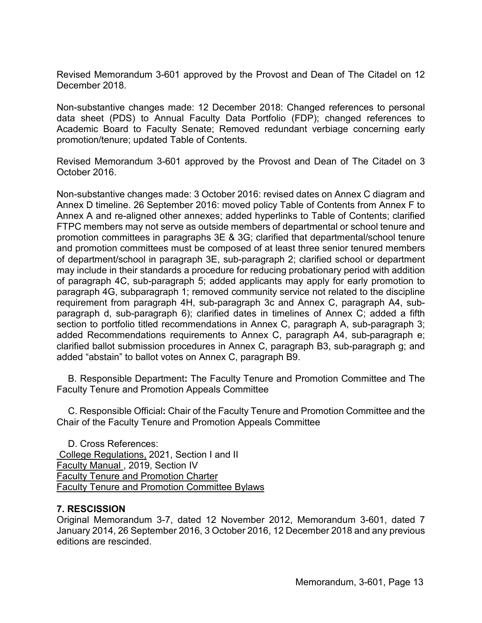Revised Memorandum 3-601 approved by the Provost and Dean of The Citadel on 12 December 2018.

Non-substantive changes made: 12 December 2018: Changed references to personal data sheet (PDS) to Annual Faculty Data Portfolio (FDP); changed references to Academic Board to Faculty Senate; Removed redundant verbiage concerning early promotion/tenure; updated Table of Contents.

Revised Memorandum 3-601 approved by the Provost and Dean of The Citadel on 3 October 2016.

Non-substantive changes made: 3 October 2016: revised dates on Annex C diagram and Annex D timeline. 26 September 2016: moved policy Table of Contents from Annex F to Annex A and re-aligned other annexes; added hyperlinks to Table of Contents; clarified FTPC members may not serve as outside members of departmental or school tenure and promotion committees in paragraphs 3E & 3G; clarified that departmental/school tenure and promotion committees must be composed of at least three senior tenured members of department/school in paragraph 3E, sub-paragraph 2; clarified school or department may include in their standards a procedure for reducing probationary period with addition of paragraph 4C, sub-paragraph 5; added applicants may apply for early promotion to paragraph 4G, subparagraph 1; removed community service not related to the discipline requirement from paragraph 4H, sub-paragraph 3c and Annex C, paragraph A4, subparagraph d, sub-paragraph 6); clarified dates in timelines of Annex C; added a fifth section to portfolio titled recommendations in Annex C, paragraph A, sub-paragraph 3; added Recommendations requirements to Annex C, paragraph A4, sub-paragraph e; clarified ballot submission procedures in Annex C, paragraph B3, sub-paragraph g; and added "abstain" to ballot votes on Annex C, paragraph B9.

B. Responsible Department**:** The Faculty Tenure and Promotion Committee and The Faculty Tenure and Promotion Appeals Committee

C. Responsible Official**:** Chair of the Faculty Tenure and Promotion Committee and the Chair of the Faculty Tenure and Promotion Appeals Committee

D. Cross References: College Regulations, 2021, Section I and II Faculty Manual , 2019, Section IV Faculty Tenure and Promotion Charter Faculty Tenure and Promotion Committee Bylaws

## **7. RESCISSION**

Original Memorandum 3-7, dated 12 November 2012, Memorandum 3-601, dated 7 January 2014, 26 September 2016, 3 October 2016, 12 December 2018 and any previous editions are rescinded.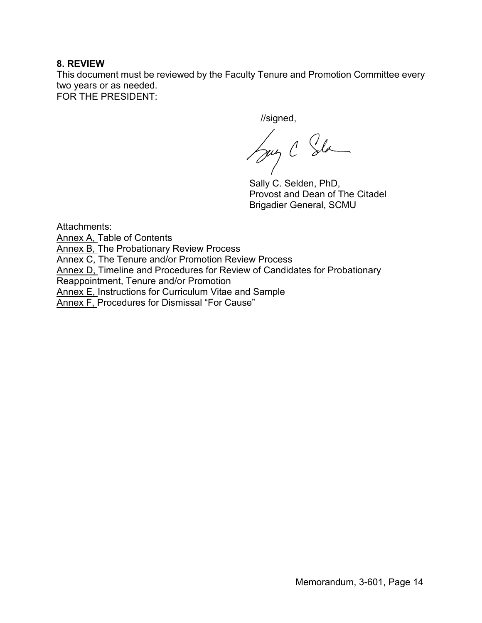## **8. REVIEW**

This document must be reviewed by the Faculty Tenure and Promotion Committee every two years or as needed. FOR THE PRESIDENT:

//signed,

Sug C Sla

Sally C. Selden, PhD, Provost and Dean of The Citadel Brigadier General, SCMU

Attachments:

Annex A, Table of Contents

Annex B, The Probationary Review Process

Annex C, The Tenure and/or Promotion Review Process

Annex D, Timeline and Procedures for Review of Candidates for Probationary

Reappointment, Tenure and/or Promotion

Annex E, Instructions for Curriculum Vitae and Sample

Annex F, Procedures for Dismissal "For Cause"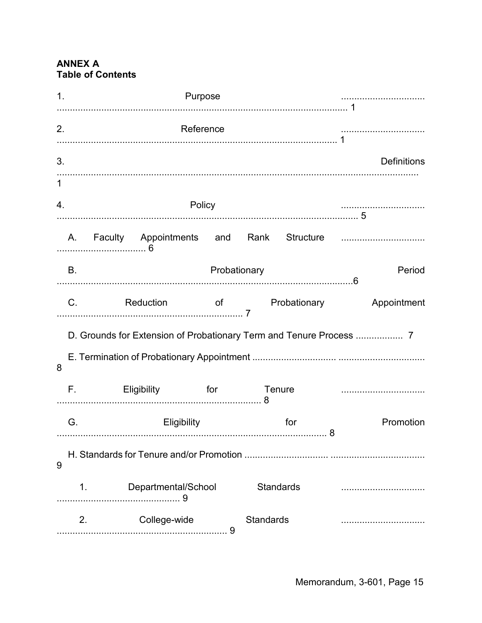# **ANNEX A Table of Contents**

| $\mathbf 1$ . |             | Purpose                |              |                  |                                 |                    |
|---------------|-------------|------------------------|--------------|------------------|---------------------------------|--------------------|
| 2.            |             | <b>Reference</b>       |              |                  |                                 |                    |
| 3.            |             |                        |              |                  |                                 | <b>Definitions</b> |
| $\mathbf{1}$  |             |                        |              |                  |                                 |                    |
| 4.            |             |                        | Policy       |                  |                                 |                    |
|               | A.          |                        |              |                  |                                 |                    |
|               | В.          |                        | Probationary |                  |                                 | Period             |
|               | $C_{\cdot}$ | <b>Reduction</b>       |              |                  | of <b>Exercise Probationary</b> | Appointment        |
|               |             |                        |              |                  |                                 |                    |
| 8             |             |                        |              |                  |                                 |                    |
|               | F.,         | Eligibility for Tenure |              |                  |                                 |                    |
|               | G.          | Eligibility            |              |                  | for                             | Promotion          |
| 9             |             |                        |              |                  |                                 |                    |
|               | 1.          | Departmental/School    |              | <b>Standards</b> |                                 |                    |
|               | 2.          | College-wide           | 9            | <b>Standards</b> |                                 |                    |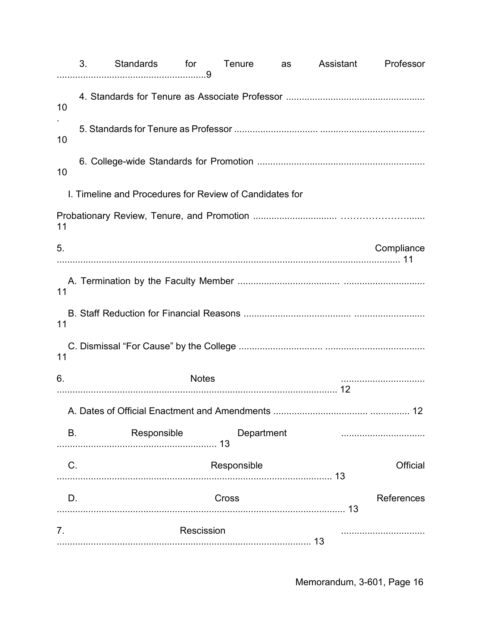|             | 3. | Standards for Tenure as Assistant                       |              |       |             |    | Professor       |
|-------------|----|---------------------------------------------------------|--------------|-------|-------------|----|-----------------|
| 10          |    |                                                         |              |       |             |    |                 |
| 10          |    |                                                         |              |       |             |    |                 |
| 10          |    |                                                         |              |       |             |    |                 |
|             |    | I. Timeline and Procedures for Review of Candidates for |              |       |             |    |                 |
| 11          |    |                                                         |              |       |             |    |                 |
| 5.          |    |                                                         |              |       |             |    | Compliance      |
| 11          |    |                                                         |              |       |             |    |                 |
| 11          |    |                                                         |              |       |             |    |                 |
| 11          |    |                                                         |              |       |             |    |                 |
| 6.          |    |                                                         | <b>Notes</b> |       |             |    |                 |
|             |    | A. Dates of Official Enactment and Amendments           |              |       |             |    | 12 <sup>2</sup> |
| В.          |    | Responsible                                             |              |       | Department  |    |                 |
| $C_{\cdot}$ |    |                                                         |              |       | Responsible |    | Official        |
| D.          |    |                                                         |              | Cross |             |    | References      |
| 7.          |    |                                                         | Rescission   |       |             | 13 |                 |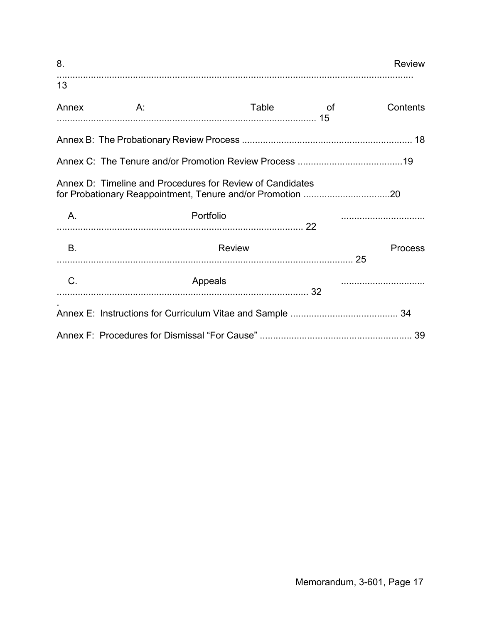| 8.          |                                                           |       |                     | <b>Review</b>  |
|-------------|-----------------------------------------------------------|-------|---------------------|----------------|
| 13          |                                                           |       |                     |                |
| Annex       | A:                                                        | Table | and the contract of | Contents       |
|             |                                                           |       |                     |                |
|             |                                                           |       |                     |                |
|             | Annex D: Timeline and Procedures for Review of Candidates |       |                     |                |
| A.          | Portfolio                                                 |       |                     |                |
| <b>B.</b>   | Review                                                    |       |                     | <b>Process</b> |
| $C_{\cdot}$ | Appeals                                                   |       |                     |                |
|             |                                                           |       |                     |                |
|             |                                                           |       |                     |                |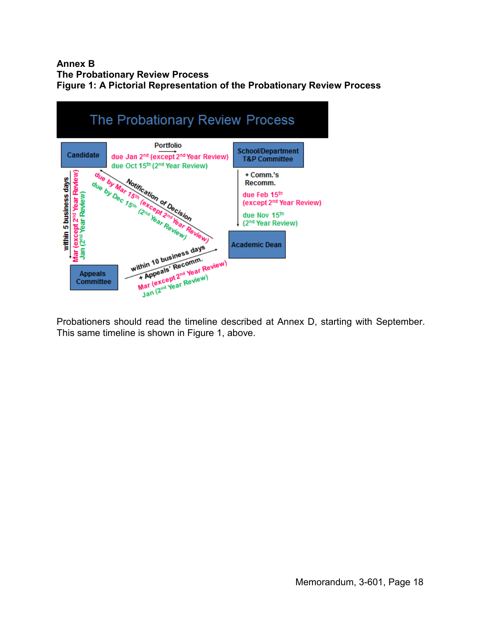## **Annex B The Probationary Review Process Figure 1: A Pictorial Representation of the Probationary Review Process**



Probationers should read the timeline described at Annex D, starting with September. This same timeline is shown in Figure 1, above.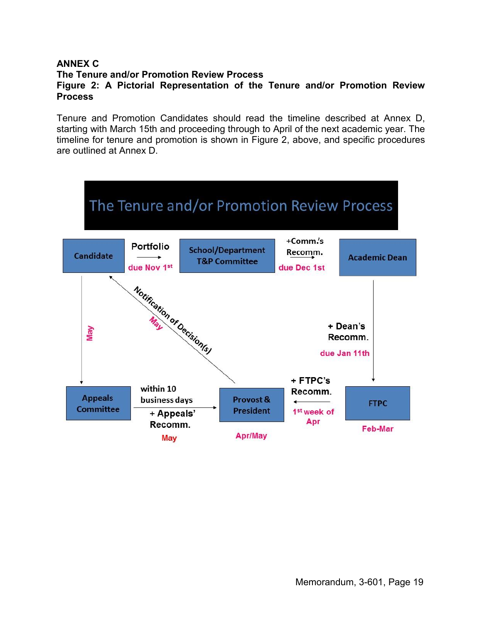## **ANNEX C The Tenure and/or Promotion Review Process Figure 2: A Pictorial Representation of the Tenure and/or Promotion Review Process**

Tenure and Promotion Candidates should read the timeline described at Annex D, starting with March 15th and proceeding through to April of the next academic year. The timeline for tenure and promotion is shown in Figure 2, above, and specific procedures are outlined at Annex D.

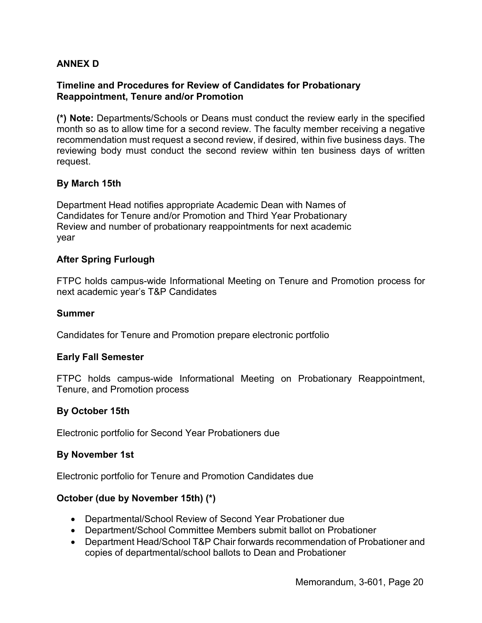## **ANNEX D**

## **Timeline and Procedures for Review of Candidates for Probationary Reappointment, Tenure and/or Promotion**

**(\*) Note:** Departments/Schools or Deans must conduct the review early in the specified month so as to allow time for a second review. The faculty member receiving a negative recommendation must request a second review, if desired, within five business days. The reviewing body must conduct the second review within ten business days of written request.

## **By March 15th**

Department Head notifies appropriate Academic Dean with Names of Candidates for Tenure and/or Promotion and Third Year Probationary Review and number of probationary reappointments for next academic year

## **After Spring Furlough**

FTPC holds campus-wide Informational Meeting on Tenure and Promotion process for next academic year's T&P Candidates

#### **Summer**

Candidates for Tenure and Promotion prepare electronic portfolio

## **Early Fall Semester**

FTPC holds campus-wide Informational Meeting on Probationary Reappointment, Tenure, and Promotion process

## **By October 15th**

Electronic portfolio for Second Year Probationers due

## **By November 1st**

Electronic portfolio for Tenure and Promotion Candidates due

## **October (due by November 15th) (\*)**

- Departmental/School Review of Second Year Probationer due
- Department/School Committee Members submit ballot on Probationer
- Department Head/School T&P Chair forwards recommendation of Probationer and copies of departmental/school ballots to Dean and Probationer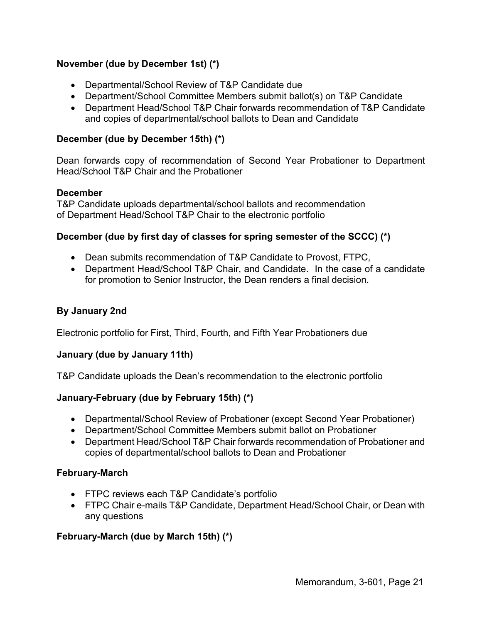# **November (due by December 1st) (\*)**

- Departmental/School Review of T&P Candidate due
- Department/School Committee Members submit ballot(s) on T&P Candidate
- Department Head/School T&P Chair forwards recommendation of T&P Candidate and copies of departmental/school ballots to Dean and Candidate

# **December (due by December 15th) (\*)**

Dean forwards copy of recommendation of Second Year Probationer to Department Head/School T&P Chair and the Probationer

## **December**

T&P Candidate uploads departmental/school ballots and recommendation of Department Head/School T&P Chair to the electronic portfolio

# **December (due by first day of classes for spring semester of the SCCC) (\*)**

- Dean submits recommendation of T&P Candidate to Provost, FTPC,
- Department Head/School T&P Chair, and Candidate. In the case of a candidate for promotion to Senior Instructor, the Dean renders a final decision.

# **By January 2nd**

Electronic portfolio for First, Third, Fourth, and Fifth Year Probationers due

## **January (due by January 11th)**

T&P Candidate uploads the Dean's recommendation to the electronic portfolio

# **January-February (due by February 15th) (\*)**

- Departmental/School Review of Probationer (except Second Year Probationer)
- Department/School Committee Members submit ballot on Probationer
- Department Head/School T&P Chair forwards recommendation of Probationer and copies of departmental/school ballots to Dean and Probationer

## **February-March**

- FTPC reviews each T&P Candidate's portfolio
- FTPC Chair e-mails T&P Candidate, Department Head/School Chair, or Dean with any questions

# **February-March (due by March 15th) (\*)**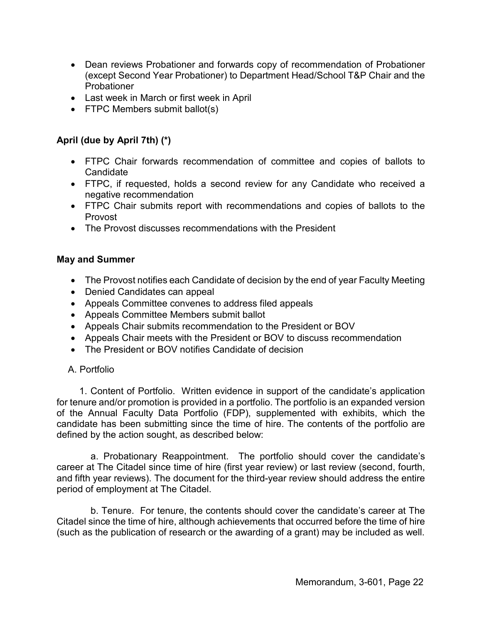- Dean reviews Probationer and forwards copy of recommendation of Probationer (except Second Year Probationer) to Department Head/School T&P Chair and the Probationer
- Last week in March or first week in April
- FTPC Members submit ballot(s)

## **April (due by April 7th) (\*)**

- FTPC Chair forwards recommendation of committee and copies of ballots to **Candidate**
- FTPC, if requested, holds a second review for any Candidate who received a negative recommendation
- FTPC Chair submits report with recommendations and copies of ballots to the Provost
- The Provost discusses recommendations with the President

## **May and Summer**

- The Provost notifies each Candidate of decision by the end of year Faculty Meeting
- Denied Candidates can appeal
- Appeals Committee convenes to address filed appeals
- Appeals Committee Members submit ballot
- Appeals Chair submits recommendation to the President or BOV
- Appeals Chair meets with the President or BOV to discuss recommendation
- The President or BOV notifies Candidate of decision

# A. Portfolio

1. Content of Portfolio. Written evidence in support of the candidate's application for tenure and/or promotion is provided in a portfolio. The portfolio is an expanded version of the Annual Faculty Data Portfolio (FDP), supplemented with exhibits, which the candidate has been submitting since the time of hire. The contents of the portfolio are defined by the action sought, as described below:

a. Probationary Reappointment. The portfolio should cover the candidate's career at The Citadel since time of hire (first year review) or last review (second, fourth, and fifth year reviews). The document for the third-year review should address the entire period of employment at The Citadel.

b. Tenure. For tenure, the contents should cover the candidate's career at The Citadel since the time of hire, although achievements that occurred before the time of hire (such as the publication of research or the awarding of a grant) may be included as well.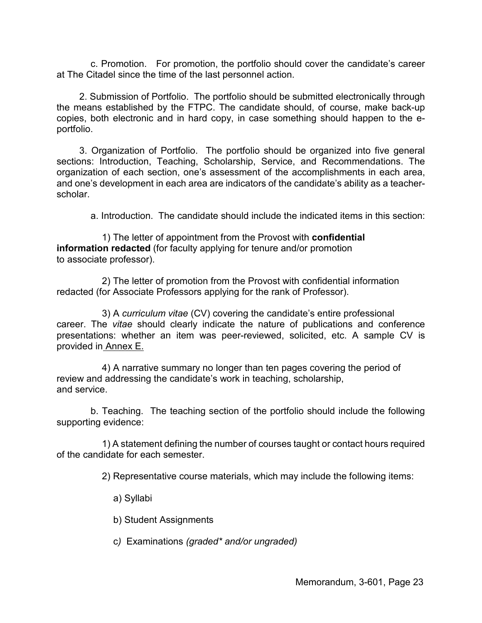c. Promotion. For promotion, the portfolio should cover the candidate's career at The Citadel since the time of the last personnel action.

2. Submission of Portfolio. The portfolio should be submitted electronically through the means established by the FTPC. The candidate should, of course, make back-up copies, both electronic and in hard copy, in case something should happen to the eportfolio.

3. Organization of Portfolio. The portfolio should be organized into five general sections: Introduction, Teaching, Scholarship, Service, and Recommendations. The organization of each section, one's assessment of the accomplishments in each area, and one's development in each area are indicators of the candidate's ability as a teacherscholar.

a. Introduction. The candidate should include the indicated items in this section:

1) The letter of appointment from the Provost with **confidential information redacted** (for faculty applying for tenure and/or promotion to associate professor).

2) The letter of promotion from the Provost with confidential information redacted (for Associate Professors applying for the rank of Professor).

3) A *curriculum vitae* (CV) covering the candidate's entire professional career. The *vitae* should clearly indicate the nature of publications and conference presentations: whether an item was peer-reviewed, solicited, etc. A sample CV is provided in Annex E.

4) A narrative summary no longer than ten pages covering the period of review and addressing the candidate's work in teaching, scholarship, and service.

b. Teaching. The teaching section of the portfolio should include the following supporting evidence:

1) A statement defining the number of courses taught or contact hours required of the candidate for each semester.

2) Representative course materials, which may include the following items:

a) Syllabi

b) Student Assignments

c*)* Examinations *(graded\* and/or ungraded)*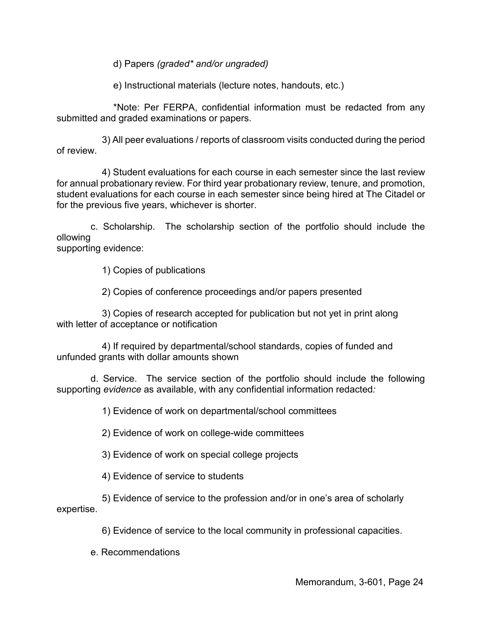d) Papers *(graded\* and/or ungraded)*

e) Instructional materials (lecture notes, handouts, etc.)

\*Note: Per FERPA, confidential information must be redacted from any submitted and graded examinations or papers.

3) All peer evaluations / reports of classroom visits conducted during the period of review.

4) Student evaluations for each course in each semester since the last review for annual probationary review. For third year probationary review, tenure, and promotion, student evaluations for each course in each semester since being hired at The Citadel or for the previous five years, whichever is shorter.

c. Scholarship. The scholarship section of the portfolio should include the ollowing

supporting evidence:

1) Copies of publications

2) Copies of conference proceedings and/or papers presented

3) Copies of research accepted for publication but not yet in print along with letter of acceptance or notification

4) If required by departmental/school standards, copies of funded and unfunded grants with dollar amounts shown

d. Service. The service section of the portfolio should include the following supporting *evidence* as available, with any confidential information redacted*:* 

1) Evidence of work on departmental/school committees

2) Evidence of work on college-wide committees

3) Evidence of work on special college projects

4) Evidence of service to students

5) Evidence of service to the profession and/or in one's area of scholarly expertise.

6) Evidence of service to the local community in professional capacities.

e. Recommendations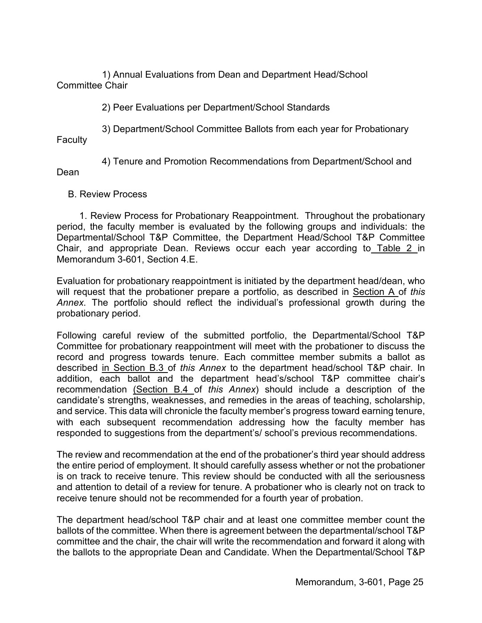1) Annual Evaluations from Dean and Department Head/School Committee Chair

2) Peer Evaluations per Department/School Standards

3) Department/School Committee Ballots from each year for Probationary **Faculty** 

4) Tenure and Promotion Recommendations from Department/School and Dean

B. Review Process

1. Review Process for Probationary Reappointment. Throughout the probationary period, the faculty member is evaluated by the following groups and individuals: the Departmental/School T&P Committee, the Department Head/School T&P Committee Chair, and appropriate Dean. Reviews occur each year according to Table 2 in Memorandum 3-601, Section 4.E.

Evaluation for probationary reappointment is initiated by the department head/dean, who will request that the probationer prepare a portfolio, as described in Section A of *this Annex*. The portfolio should reflect the individual's professional growth during the probationary period.

Following careful review of the submitted portfolio, the Departmental/School T&P Committee for probationary reappointment will meet with the probationer to discuss the record and progress towards tenure. Each committee member submits a ballot as described in Section B.3 of *this Annex* to the department head/school T&P chair. In addition, each ballot and the department head's/school T&P committee chair's recommendation (Section B.4 of *this Annex*) should include a description of the candidate's strengths, weaknesses, and remedies in the areas of teaching, scholarship, and service. This data will chronicle the faculty member's progress toward earning tenure, with each subsequent recommendation addressing how the faculty member has responded to suggestions from the department's/ school's previous recommendations.

The review and recommendation at the end of the probationer's third year should address the entire period of employment. It should carefully assess whether or not the probationer is on track to receive tenure. This review should be conducted with all the seriousness and attention to detail of a review for tenure. A probationer who is clearly not on track to receive tenure should not be recommended for a fourth year of probation.

The department head/school T&P chair and at least one committee member count the ballots of the committee. When there is agreement between the departmental/school T&P committee and the chair, the chair will write the recommendation and forward it along with the ballots to the appropriate Dean and Candidate. When the Departmental/School T&P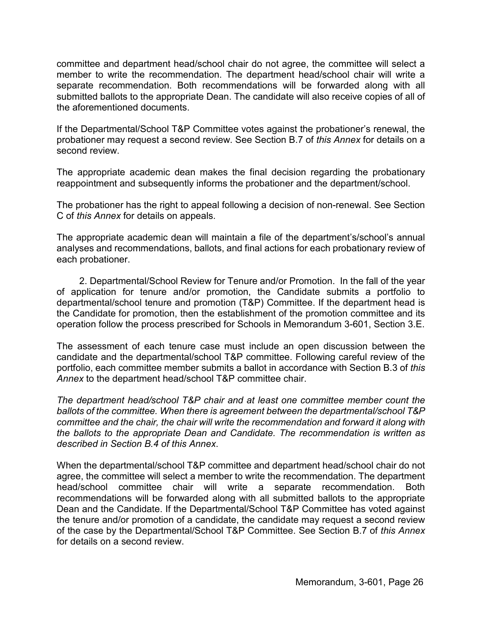committee and department head/school chair do not agree, the committee will select a member to write the recommendation. The department head/school chair will write a separate recommendation. Both recommendations will be forwarded along with all submitted ballots to the appropriate Dean. The candidate will also receive copies of all of the aforementioned documents.

If the Departmental/School T&P Committee votes against the probationer's renewal, the probationer may request a second review. See Section B.7 of *this Annex* for details on a second review.

The appropriate academic dean makes the final decision regarding the probationary reappointment and subsequently informs the probationer and the department/school.

The probationer has the right to appeal following a decision of non-renewal. See Section C of *this Annex* for details on appeals.

The appropriate academic dean will maintain a file of the department's/school's annual analyses and recommendations, ballots, and final actions for each probationary review of each probationer.

2. Departmental/School Review for Tenure and/or Promotion. In the fall of the year of application for tenure and/or promotion, the Candidate submits a portfolio to departmental/school tenure and promotion (T&P) Committee. If the department head is the Candidate for promotion, then the establishment of the promotion committee and its operation follow the process prescribed for Schools in Memorandum 3-601, Section 3.E.

The assessment of each tenure case must include an open discussion between the candidate and the departmental/school T&P committee. Following careful review of the portfolio, each committee member submits a ballot in accordance with Section B.3 of *this Annex* to the department head/school T&P committee chair.

*The department head/school T&P chair and at least one committee member count the ballots of the committee. When there is agreement between the departmental/school T&P committee and the chair, the chair will write the recommendation and forward it along with the ballots to the appropriate Dean and Candidate. The recommendation is written as described in Section B.4 of this Annex*.

When the departmental/school T&P committee and department head/school chair do not agree, the committee will select a member to write the recommendation. The department head/school committee chair will write a separate recommendation. Both recommendations will be forwarded along with all submitted ballots to the appropriate Dean and the Candidate. If the Departmental/School T&P Committee has voted against the tenure and/or promotion of a candidate, the candidate may request a second review of the case by the Departmental/School T&P Committee. See Section B.7 of *this Annex* for details on a second review.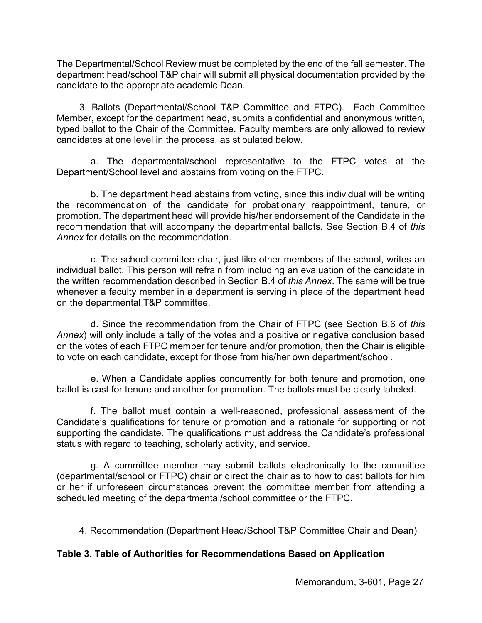The Departmental/School Review must be completed by the end of the fall semester. The department head/school T&P chair will submit all physical documentation provided by the candidate to the appropriate academic Dean.

3. Ballots (Departmental/School T&P Committee and FTPC). Each Committee Member, except for the department head, submits a confidential and anonymous written, typed ballot to the Chair of the Committee. Faculty members are only allowed to review candidates at one level in the process, as stipulated below.

a. The departmental/school representative to the FTPC votes at the Department/School level and abstains from voting on the FTPC.

b. The department head abstains from voting, since this individual will be writing the recommendation of the candidate for probationary reappointment, tenure, or promotion. The department head will provide his/her endorsement of the Candidate in the recommendation that will accompany the departmental ballots. See Section B.4 of *this Annex* for details on the recommendation.

c. The school committee chair, just like other members of the school, writes an individual ballot. This person will refrain from including an evaluation of the candidate in the written recommendation described in Section B.4 of *this Annex*. The same will be true whenever a faculty member in a department is serving in place of the department head on the departmental T&P committee.

d. Since the recommendation from the Chair of FTPC (see Section B.6 of *this Annex*) will only include a tally of the votes and a positive or negative conclusion based on the votes of each FTPC member for tenure and/or promotion, then the Chair is eligible to vote on each candidate, except for those from his/her own department/school.

e. When a Candidate applies concurrently for both tenure and promotion, one ballot is cast for tenure and another for promotion. The ballots must be clearly labeled.

f. The ballot must contain a well-reasoned, professional assessment of the Candidate's qualifications for tenure or promotion and a rationale for supporting or not supporting the candidate. The qualifications must address the Candidate's professional status with regard to teaching, scholarly activity, and service.

g. A committee member may submit ballots electronically to the committee (departmental/school or FTPC) chair or direct the chair as to how to cast ballots for him or her if unforeseen circumstances prevent the committee member from attending a scheduled meeting of the departmental/school committee or the FTPC.

4. Recommendation (Department Head/School T&P Committee Chair and Dean)

# **Table 3. Table of Authorities for Recommendations Based on Application**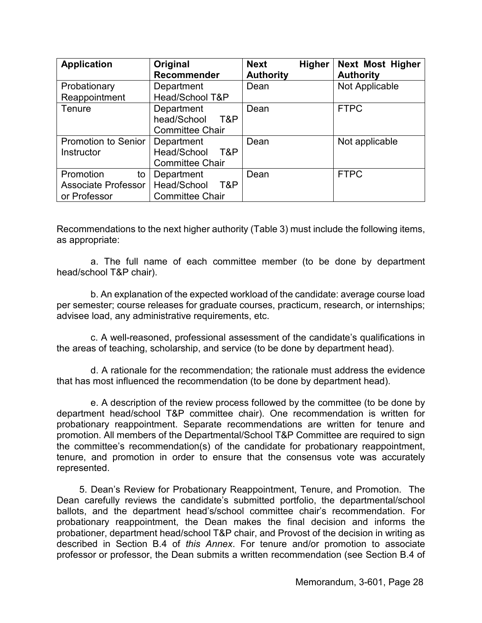| <b>Application</b>         | Original               | <b>Next</b><br><b>Higher</b> | <b>Next Most Higher</b> |
|----------------------------|------------------------|------------------------------|-------------------------|
|                            | Recommender            | <b>Authority</b>             | <b>Authority</b>        |
| Probationary               | Department             | Dean                         | Not Applicable          |
| Reappointment              | Head/School T&P        |                              |                         |
| Tenure                     | Department             | Dean                         | <b>FTPC</b>             |
|                            | head/School<br>T&P     |                              |                         |
|                            | <b>Committee Chair</b> |                              |                         |
| <b>Promotion to Senior</b> | Department             | Dean                         | Not applicable          |
| Instructor                 | Head/School T&P        |                              |                         |
|                            | <b>Committee Chair</b> |                              |                         |
| Promotion<br>to            | Department             | Dean                         | <b>FTPC</b>             |
| Associate Professor        | Head/School<br>T&P     |                              |                         |
| or Professor               | <b>Committee Chair</b> |                              |                         |

Recommendations to the next higher authority (Table 3) must include the following items, as appropriate:

a. The full name of each committee member (to be done by department head/school T&P chair).

b. An explanation of the expected workload of the candidate: average course load per semester; course releases for graduate courses, practicum, research, or internships; advisee load, any administrative requirements, etc.

c. A well-reasoned, professional assessment of the candidate's qualifications in the areas of teaching, scholarship, and service (to be done by department head).

d. A rationale for the recommendation; the rationale must address the evidence that has most influenced the recommendation (to be done by department head).

e. A description of the review process followed by the committee (to be done by department head/school T&P committee chair). One recommendation is written for probationary reappointment. Separate recommendations are written for tenure and promotion. All members of the Departmental/School T&P Committee are required to sign the committee's recommendation(s) of the candidate for probationary reappointment, tenure, and promotion in order to ensure that the consensus vote was accurately represented.

5. Dean's Review for Probationary Reappointment, Tenure, and Promotion. The Dean carefully reviews the candidate's submitted portfolio, the departmental/school ballots, and the department head's/school committee chair's recommendation. For probationary reappointment, the Dean makes the final decision and informs the probationer, department head/school T&P chair, and Provost of the decision in writing as described in Section B.4 of *this Annex*. For tenure and/or promotion to associate professor or professor, the Dean submits a written recommendation (see Section B.4 of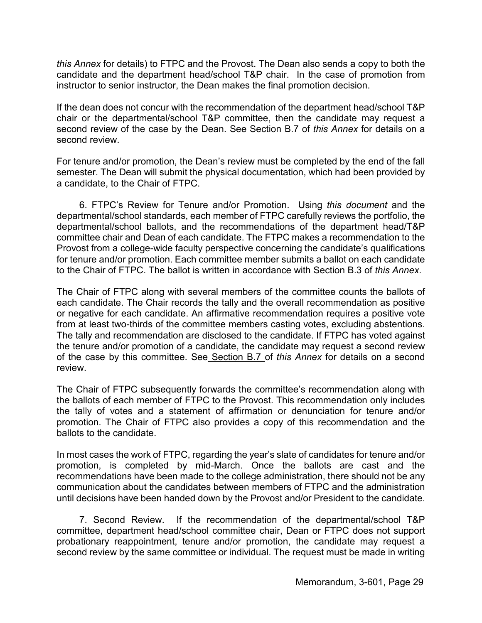*this Annex* for details) to FTPC and the Provost. The Dean also sends a copy to both the candidate and the department head/school T&P chair. In the case of promotion from instructor to senior instructor, the Dean makes the final promotion decision.

If the dean does not concur with the recommendation of the department head/school T&P chair or the departmental/school T&P committee, then the candidate may request a second review of the case by the Dean. See Section B.7 of *this Annex* for details on a second review.

For tenure and/or promotion, the Dean's review must be completed by the end of the fall semester. The Dean will submit the physical documentation, which had been provided by a candidate, to the Chair of FTPC.

6. FTPC's Review for Tenure and/or Promotion. Using *this document* and the departmental/school standards, each member of FTPC carefully reviews the portfolio, the departmental/school ballots, and the recommendations of the department head/T&P committee chair and Dean of each candidate. The FTPC makes a recommendation to the Provost from a college-wide faculty perspective concerning the candidate's qualifications for tenure and/or promotion. Each committee member submits a ballot on each candidate to the Chair of FTPC. The ballot is written in accordance with Section B.3 of *this Annex*.

The Chair of FTPC along with several members of the committee counts the ballots of each candidate. The Chair records the tally and the overall recommendation as positive or negative for each candidate. An affirmative recommendation requires a positive vote from at least two-thirds of the committee members casting votes, excluding abstentions. The tally and recommendation are disclosed to the candidate. If FTPC has voted against the tenure and/or promotion of a candidate, the candidate may request a second review of the case by this committee. See Section B.7 of *this Annex* for details on a second review.

The Chair of FTPC subsequently forwards the committee's recommendation along with the ballots of each member of FTPC to the Provost. This recommendation only includes the tally of votes and a statement of affirmation or denunciation for tenure and/or promotion. The Chair of FTPC also provides a copy of this recommendation and the ballots to the candidate.

In most cases the work of FTPC, regarding the year's slate of candidates for tenure and/or promotion, is completed by mid-March. Once the ballots are cast and the recommendations have been made to the college administration, there should not be any communication about the candidates between members of FTPC and the administration until decisions have been handed down by the Provost and/or President to the candidate.

7. Second Review. If the recommendation of the departmental/school T&P committee, department head/school committee chair, Dean or FTPC does not support probationary reappointment, tenure and/or promotion, the candidate may request a second review by the same committee or individual. The request must be made in writing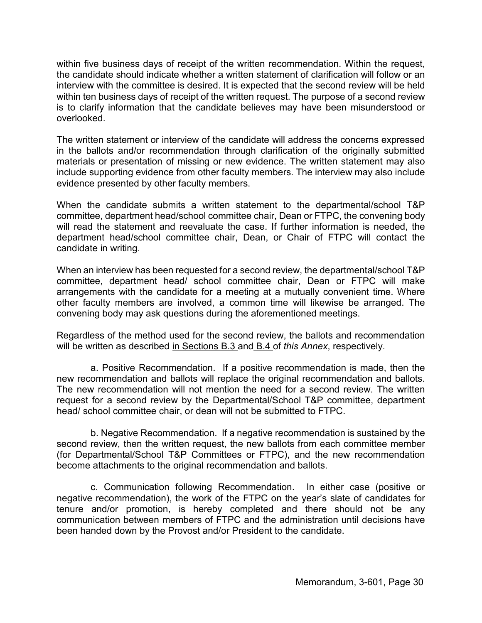within five business days of receipt of the written recommendation. Within the request, the candidate should indicate whether a written statement of clarification will follow or an interview with the committee is desired. It is expected that the second review will be held within ten business days of receipt of the written request. The purpose of a second review is to clarify information that the candidate believes may have been misunderstood or overlooked.

The written statement or interview of the candidate will address the concerns expressed in the ballots and/or recommendation through clarification of the originally submitted materials or presentation of missing or new evidence. The written statement may also include supporting evidence from other faculty members. The interview may also include evidence presented by other faculty members.

When the candidate submits a written statement to the departmental/school T&P committee, department head/school committee chair, Dean or FTPC, the convening body will read the statement and reevaluate the case. If further information is needed, the department head/school committee chair, Dean, or Chair of FTPC will contact the candidate in writing.

When an interview has been requested for a second review, the departmental/school T&P committee, department head/ school committee chair, Dean or FTPC will make arrangements with the candidate for a meeting at a mutually convenient time. Where other faculty members are involved, a common time will likewise be arranged. The convening body may ask questions during the aforementioned meetings.

Regardless of the method used for the second review, the ballots and recommendation will be written as described in Sections B.3 and B.4 of *this Annex*, respectively.

a. Positive Recommendation. If a positive recommendation is made, then the new recommendation and ballots will replace the original recommendation and ballots. The new recommendation will not mention the need for a second review. The written request for a second review by the Departmental/School T&P committee, department head/ school committee chair, or dean will not be submitted to FTPC.

b. Negative Recommendation. If a negative recommendation is sustained by the second review, then the written request, the new ballots from each committee member (for Departmental/School T&P Committees or FTPC), and the new recommendation become attachments to the original recommendation and ballots.

c. Communication following Recommendation. In either case (positive or negative recommendation), the work of the FTPC on the year's slate of candidates for tenure and/or promotion, is hereby completed and there should not be any communication between members of FTPC and the administration until decisions have been handed down by the Provost and/or President to the candidate.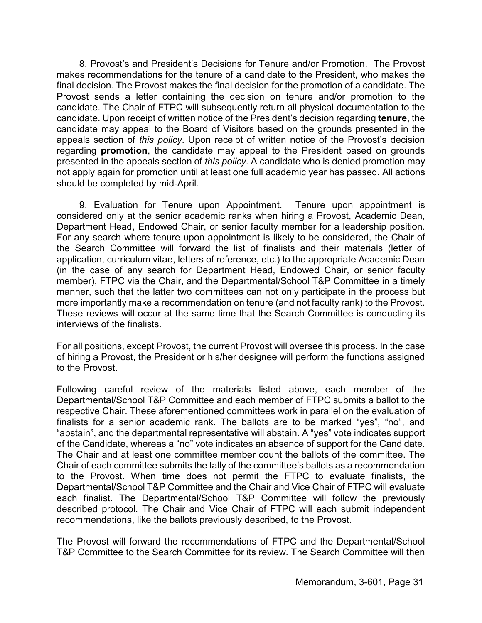8. Provost's and President's Decisions for Tenure and/or Promotion. The Provost makes recommendations for the tenure of a candidate to the President, who makes the final decision. The Provost makes the final decision for the promotion of a candidate. The Provost sends a letter containing the decision on tenure and/or promotion to the candidate. The Chair of FTPC will subsequently return all physical documentation to the candidate. Upon receipt of written notice of the President's decision regarding **tenure**, the candidate may appeal to the Board of Visitors based on the grounds presented in the appeals section of *this policy*. Upon receipt of written notice of the Provost's decision regarding **promotion**, the candidate may appeal to the President based on grounds presented in the appeals section of *this policy*. A candidate who is denied promotion may not apply again for promotion until at least one full academic year has passed. All actions should be completed by mid-April.

9. Evaluation for Tenure upon Appointment. Tenure upon appointment is considered only at the senior academic ranks when hiring a Provost, Academic Dean, Department Head, Endowed Chair, or senior faculty member for a leadership position. For any search where tenure upon appointment is likely to be considered, the Chair of the Search Committee will forward the list of finalists and their materials (letter of application, curriculum vitae, letters of reference, etc.) to the appropriate Academic Dean (in the case of any search for Department Head, Endowed Chair, or senior faculty member), FTPC via the Chair, and the Departmental/School T&P Committee in a timely manner, such that the latter two committees can not only participate in the process but more importantly make a recommendation on tenure (and not faculty rank) to the Provost. These reviews will occur at the same time that the Search Committee is conducting its interviews of the finalists.

For all positions, except Provost, the current Provost will oversee this process. In the case of hiring a Provost, the President or his/her designee will perform the functions assigned to the Provost.

Following careful review of the materials listed above, each member of the Departmental/School T&P Committee and each member of FTPC submits a ballot to the respective Chair. These aforementioned committees work in parallel on the evaluation of finalists for a senior academic rank. The ballots are to be marked "yes", "no", and "abstain", and the departmental representative will abstain. A "yes" vote indicates support of the Candidate, whereas a "no" vote indicates an absence of support for the Candidate. The Chair and at least one committee member count the ballots of the committee. The Chair of each committee submits the tally of the committee's ballots as a recommendation to the Provost. When time does not permit the FTPC to evaluate finalists, the Departmental/School T&P Committee and the Chair and Vice Chair of FTPC will evaluate each finalist. The Departmental/School T&P Committee will follow the previously described protocol. The Chair and Vice Chair of FTPC will each submit independent recommendations, like the ballots previously described, to the Provost.

The Provost will forward the recommendations of FTPC and the Departmental/School T&P Committee to the Search Committee for its review. The Search Committee will then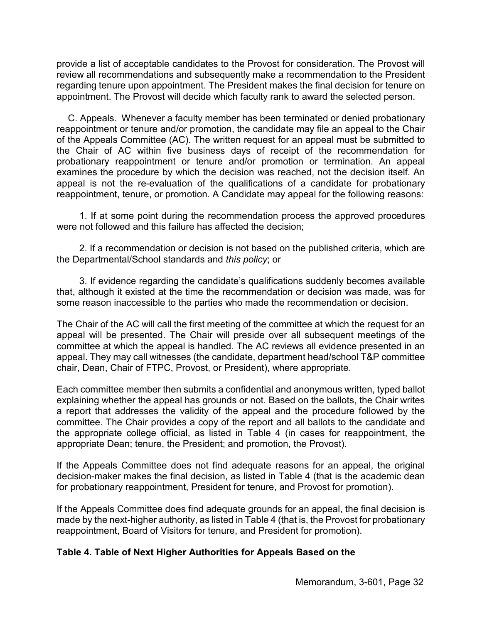provide a list of acceptable candidates to the Provost for consideration. The Provost will review all recommendations and subsequently make a recommendation to the President regarding tenure upon appointment. The President makes the final decision for tenure on appointment. The Provost will decide which faculty rank to award the selected person.

C. Appeals. Whenever a faculty member has been terminated or denied probationary reappointment or tenure and/or promotion, the candidate may file an appeal to the Chair of the Appeals Committee (AC). The written request for an appeal must be submitted to the Chair of AC within five business days of receipt of the recommendation for probationary reappointment or tenure and/or promotion or termination. An appeal examines the procedure by which the decision was reached, not the decision itself. An appeal is not the re-evaluation of the qualifications of a candidate for probationary reappointment, tenure, or promotion. A Candidate may appeal for the following reasons:

1. If at some point during the recommendation process the approved procedures were not followed and this failure has affected the decision;

2. If a recommendation or decision is not based on the published criteria, which are the Departmental/School standards and *this policy*; or

3. If evidence regarding the candidate's qualifications suddenly becomes available that, although it existed at the time the recommendation or decision was made, was for some reason inaccessible to the parties who made the recommendation or decision.

The Chair of the AC will call the first meeting of the committee at which the request for an appeal will be presented. The Chair will preside over all subsequent meetings of the committee at which the appeal is handled. The AC reviews all evidence presented in an appeal. They may call witnesses (the candidate, department head/school T&P committee chair, Dean, Chair of FTPC, Provost, or President), where appropriate.

Each committee member then submits a confidential and anonymous written, typed ballot explaining whether the appeal has grounds or not. Based on the ballots, the Chair writes a report that addresses the validity of the appeal and the procedure followed by the committee. The Chair provides a copy of the report and all ballots to the candidate and the appropriate college official, as listed in Table 4 (in cases for reappointment, the appropriate Dean; tenure, the President; and promotion, the Provost).

If the Appeals Committee does not find adequate reasons for an appeal, the original decision-maker makes the final decision, as listed in Table 4 (that is the academic dean for probationary reappointment, President for tenure, and Provost for promotion).

If the Appeals Committee does find adequate grounds for an appeal, the final decision is made by the next-higher authority, as listed in Table 4 (that is, the Provost for probationary reappointment, Board of Visitors for tenure, and President for promotion).

## **Table 4. Table of Next Higher Authorities for Appeals Based on the**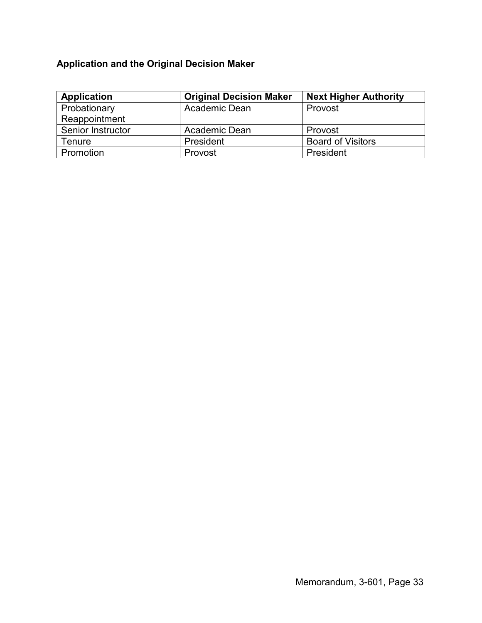# **Application and the Original Decision Maker**

| Application       | <b>Original Decision Maker</b> | <b>Next Higher Authority</b> |
|-------------------|--------------------------------|------------------------------|
| Probationary      | Academic Dean                  | Provost                      |
| Reappointment     |                                |                              |
| Senior Instructor | Academic Dean                  | Provost                      |
| Tenure            | President                      | <b>Board of Visitors</b>     |
| Promotion         | Provost                        | President                    |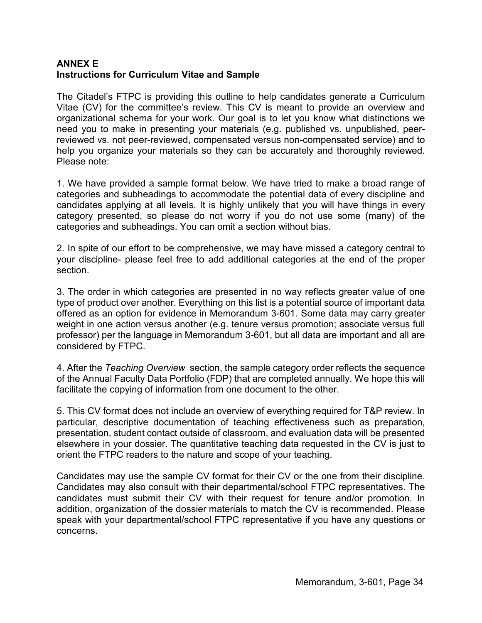# **ANNEX E Instructions for Curriculum Vitae and Sample**

The Citadel's FTPC is providing this outline to help candidates generate a Curriculum Vitae (CV) for the committee's review. This CV is meant to provide an overview and organizational schema for your work. Our goal is to let you know what distinctions we need you to make in presenting your materials (e.g. published vs. unpublished, peerreviewed vs. not peer-reviewed, compensated versus non-compensated service) and to help you organize your materials so they can be accurately and thoroughly reviewed. Please note:

1. We have provided a sample format below. We have tried to make a broad range of categories and subheadings to accommodate the potential data of every discipline and candidates applying at all levels. It is highly unlikely that you will have things in every category presented, so please do not worry if you do not use some (many) of the categories and subheadings. You can omit a section without bias.

2. In spite of our effort to be comprehensive, we may have missed a category central to your discipline- please feel free to add additional categories at the end of the proper section.

3. The order in which categories are presented in no way reflects greater value of one type of product over another. Everything on this list is a potential source of important data offered as an option for evidence in Memorandum 3-601. Some data may carry greater weight in one action versus another (e.g. tenure versus promotion; associate versus full professor) per the language in Memorandum 3-601, but all data are important and all are considered by FTPC.

4. After the *Teaching Overview* section, the sample category order reflects the sequence of the Annual Faculty Data Portfolio (FDP) that are completed annually. We hope this will facilitate the copying of information from one document to the other.

5. This CV format does not include an overview of everything required for T&P review. In particular, descriptive documentation of teaching effectiveness such as preparation, presentation, student contact outside of classroom, and evaluation data will be presented elsewhere in your dossier. The quantitative teaching data requested in the CV is just to orient the FTPC readers to the nature and scope of your teaching.

Candidates may use the sample CV format for their CV or the one from their discipline. Candidates may also consult with their departmental/school FTPC representatives. The candidates must submit their CV with their request for tenure and/or promotion. In addition, organization of the dossier materials to match the CV is recommended. Please speak with your departmental/school FTPC representative if you have any questions or concerns.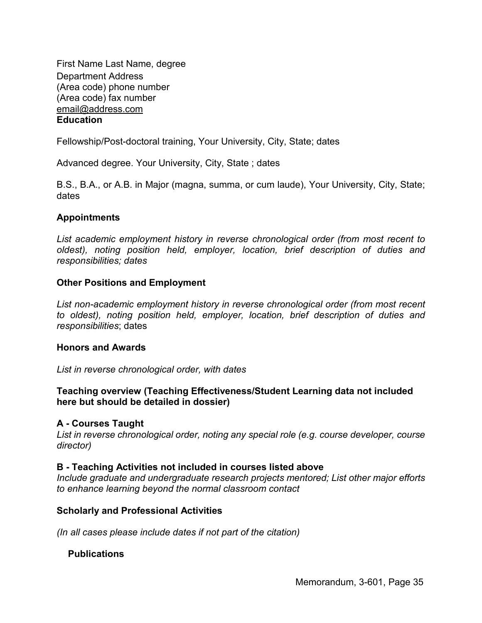First Name Last Name, degree Department Address (Area code) phone number (Area code) fax number email@address.com **Education** 

Fellowship/Post-doctoral training, Your University, City, State; dates

Advanced degree. Your University, City, State ; dates

B.S., B.A., or A.B. in Major (magna, summa, or cum laude), Your University, City, State; dates

## **Appointments**

*List academic employment history in reverse chronological order (from most recent to oldest), noting position held, employer, location, brief description of duties and responsibilities; dates* 

## **Other Positions and Employment**

*List non-academic employment history in reverse chronological order (from most recent to oldest), noting position held, employer, location, brief description of duties and responsibilities*; dates

#### **Honors and Awards**

*List in reverse chronological order, with dates*

## **Teaching overview (Teaching Effectiveness/Student Learning data not included here but should be detailed in dossier)**

#### **A - Courses Taught**

*List in reverse chronological order, noting any special role (e.g. course developer, course director)*

#### **B - Teaching Activities not included in courses listed above**

*Include graduate and undergraduate research projects mentored; List other major efforts to enhance learning beyond the normal classroom contact*

#### **Scholarly and Professional Activities**

*(In all cases please include dates if not part of the citation)* 

## **Publications**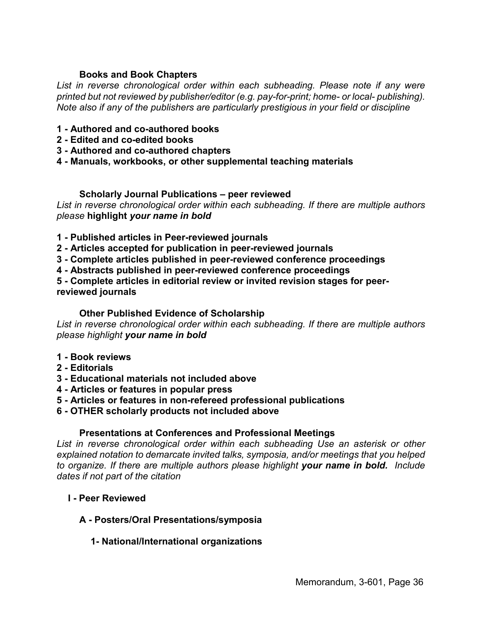## **Books and Book Chapters**

List in reverse chronological order within each subheading. Please note if any were *printed but not reviewed by publisher/editor (e.g. pay-for-print; home- or local- publishing). Note also if any of the publishers are particularly prestigious in your field or discipline* 

- **1 - Authored and co-authored books**
- **2 - Edited and co-edited books**
- **3 - Authored and co-authored chapters**
- **4 - Manuals, workbooks, or other supplemental teaching materials**

#### **Scholarly Journal Publications – peer reviewed**

*List in reverse chronological order within each subheading. If there are multiple authors please* **highlight** *your name in bold*

- **1 - Published articles in Peer-reviewed journals**
- **2 - Articles accepted for publication in peer-reviewed journals**
- **3 - Complete articles published in peer-reviewed conference proceedings**
- **4 - Abstracts published in peer-reviewed conference proceedings**

**5 - Complete articles in editorial review or invited revision stages for peerreviewed journals** 

#### **Other Published Evidence of Scholarship**

*List in reverse chronological order within each subheading. If there are multiple authors please highlight your name in bold*

- **1 - Book reviews**
- **2 - Editorials**
- **3 - Educational materials not included above**
- **4 - Articles or features in popular press**
- **5 - Articles or features in non-refereed professional publications**
- **6 - OTHER scholarly products not included above**

#### **Presentations at Conferences and Professional Meetings**

*List in reverse chronological order within each subheading Use an asterisk or other explained notation to demarcate invited talks, symposia, and/or meetings that you helped to organize. If there are multiple authors please highlight your name in bold. Include dates if not part of the citation*

- **I - Peer Reviewed** 
	- **A - Posters/Oral Presentations/symposia**

## **1- National/International organizations**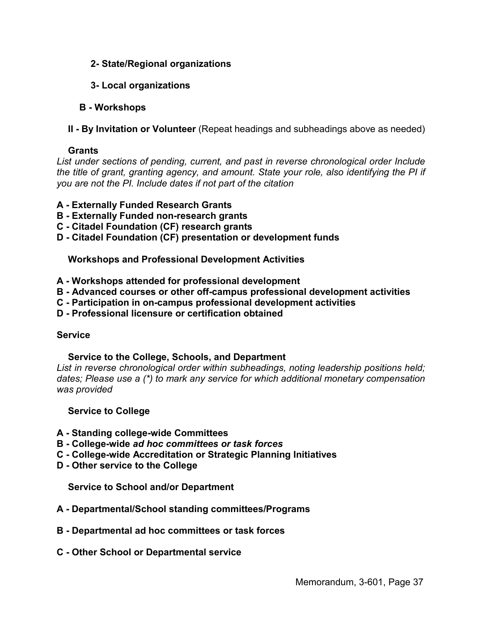- **2- State/Regional organizations**
- **3- Local organizations**
- **B - Workshops**
- **II By Invitation or Volunteer** (Repeat headings and subheadings above as needed)

## **Grants**

*List under sections of pending, current, and past in reverse chronological order Include the title of grant, granting agency, and amount. State your role, also identifying the PI if you are not the PI. Include dates if not part of the citation* 

## **A - Externally Funded Research Grants**

- **B - Externally Funded non-research grants**
- **C - Citadel Foundation (CF) research grants**
- **D - Citadel Foundation (CF) presentation or development funds**

## **Workshops and Professional Development Activities**

- **A - Workshops attended for professional development**
- **B - Advanced courses or other off-campus professional development activities**
- **C - Participation in on-campus professional development activities**
- **D - Professional licensure or certification obtained**

# **Service**

# **Service to the College, Schools, and Department**

*List in reverse chronological order within subheadings, noting leadership positions held; dates; Please use a (\*) to mark any service for which additional monetary compensation was provided* 

## **Service to College**

- **A - Standing college-wide Committees**
- **B - College-wide** *ad hoc committees or task forces*
- **C - College-wide Accreditation or Strategic Planning Initiatives**
- **D - Other service to the College**

**Service to School and/or Department** 

- **A - Departmental/School standing committees/Programs**
- **B - Departmental ad hoc committees or task forces**
- **C - Other School or Departmental service**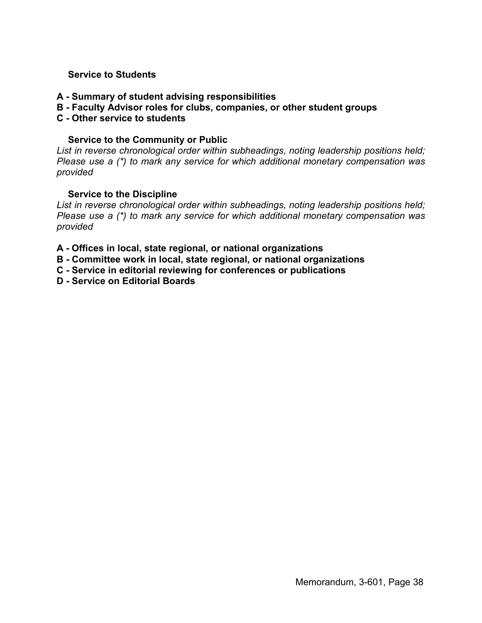## **Service to Students**

- **A - Summary of student advising responsibilities**
- **B - Faculty Advisor roles for clubs, companies, or other student groups**
- **C - Other service to students**

#### **Service to the Community or Public**

*List in reverse chronological order within subheadings, noting leadership positions held; Please use a (\*) to mark any service for which additional monetary compensation was provided* 

#### **Service to the Discipline**

*List in reverse chronological order within subheadings, noting leadership positions held; Please use a (\*) to mark any service for which additional monetary compensation was provided* 

- **A - Offices in local, state regional, or national organizations**
- **B - Committee work in local, state regional, or national organizations**
- **C - Service in editorial reviewing for conferences or publications**
- **D - Service on Editorial Boards**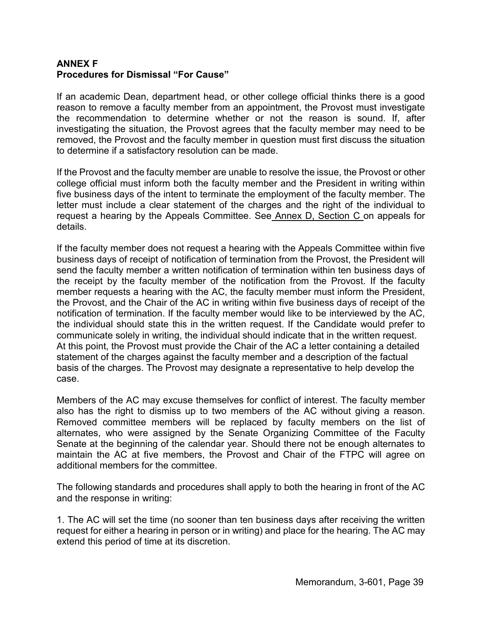# **ANNEX F Procedures for Dismissal "For Cause"**

If an academic Dean, department head, or other college official thinks there is a good reason to remove a faculty member from an appointment, the Provost must investigate the recommendation to determine whether or not the reason is sound. If, after investigating the situation, the Provost agrees that the faculty member may need to be removed, the Provost and the faculty member in question must first discuss the situation to determine if a satisfactory resolution can be made.

If the Provost and the faculty member are unable to resolve the issue, the Provost or other college official must inform both the faculty member and the President in writing within five business days of the intent to terminate the employment of the faculty member. The letter must include a clear statement of the charges and the right of the individual to request a hearing by the Appeals Committee. See Annex D, Section C on appeals for details.

If the faculty member does not request a hearing with the Appeals Committee within five business days of receipt of notification of termination from the Provost, the President will send the faculty member a written notification of termination within ten business days of the receipt by the faculty member of the notification from the Provost. If the faculty member requests a hearing with the AC, the faculty member must inform the President, the Provost, and the Chair of the AC in writing within five business days of receipt of the notification of termination. If the faculty member would like to be interviewed by the AC, the individual should state this in the written request. If the Candidate would prefer to communicate solely in writing, the individual should indicate that in the written request. At this point, the Provost must provide the Chair of the AC a letter containing a detailed statement of the charges against the faculty member and a description of the factual basis of the charges. The Provost may designate a representative to help develop the case.

Members of the AC may excuse themselves for conflict of interest. The faculty member also has the right to dismiss up to two members of the AC without giving a reason. Removed committee members will be replaced by faculty members on the list of alternates, who were assigned by the Senate Organizing Committee of the Faculty Senate at the beginning of the calendar year. Should there not be enough alternates to maintain the AC at five members, the Provost and Chair of the FTPC will agree on additional members for the committee.

The following standards and procedures shall apply to both the hearing in front of the AC and the response in writing:

1. The AC will set the time (no sooner than ten business days after receiving the written request for either a hearing in person or in writing) and place for the hearing. The AC may extend this period of time at its discretion.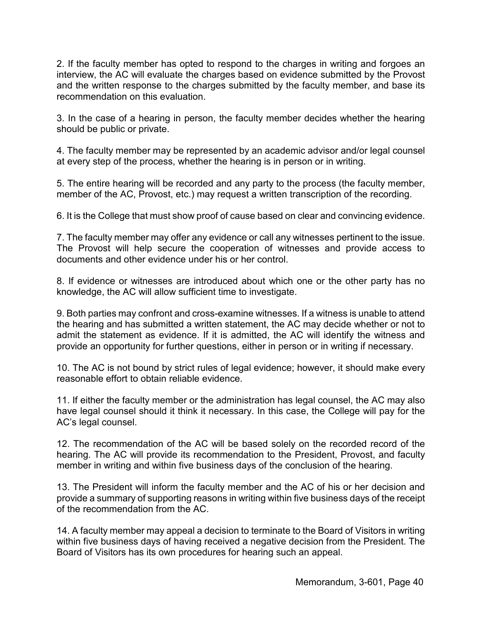2. If the faculty member has opted to respond to the charges in writing and forgoes an interview, the AC will evaluate the charges based on evidence submitted by the Provost and the written response to the charges submitted by the faculty member, and base its recommendation on this evaluation.

3. In the case of a hearing in person, the faculty member decides whether the hearing should be public or private.

4. The faculty member may be represented by an academic advisor and/or legal counsel at every step of the process, whether the hearing is in person or in writing.

5. The entire hearing will be recorded and any party to the process (the faculty member, member of the AC, Provost, etc.) may request a written transcription of the recording.

6. It is the College that must show proof of cause based on clear and convincing evidence.

7. The faculty member may offer any evidence or call any witnesses pertinent to the issue. The Provost will help secure the cooperation of witnesses and provide access to documents and other evidence under his or her control.

8. If evidence or witnesses are introduced about which one or the other party has no knowledge, the AC will allow sufficient time to investigate.

9. Both parties may confront and cross-examine witnesses. If a witness is unable to attend the hearing and has submitted a written statement, the AC may decide whether or not to admit the statement as evidence. If it is admitted, the AC will identify the witness and provide an opportunity for further questions, either in person or in writing if necessary.

10. The AC is not bound by strict rules of legal evidence; however, it should make every reasonable effort to obtain reliable evidence.

11. If either the faculty member or the administration has legal counsel, the AC may also have legal counsel should it think it necessary. In this case, the College will pay for the AC's legal counsel.

12. The recommendation of the AC will be based solely on the recorded record of the hearing. The AC will provide its recommendation to the President, Provost, and faculty member in writing and within five business days of the conclusion of the hearing.

13. The President will inform the faculty member and the AC of his or her decision and provide a summary of supporting reasons in writing within five business days of the receipt of the recommendation from the AC.

14. A faculty member may appeal a decision to terminate to the Board of Visitors in writing within five business days of having received a negative decision from the President. The Board of Visitors has its own procedures for hearing such an appeal.